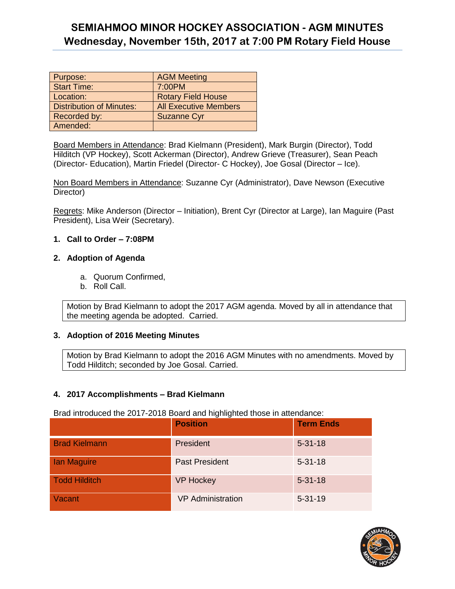| Purpose:                        | <b>AGM Meeting</b>           |
|---------------------------------|------------------------------|
| <b>Start Time:</b>              | 7:00PM                       |
| Location:                       | <b>Rotary Field House</b>    |
| <b>Distribution of Minutes:</b> | <b>All Executive Members</b> |
| Recorded by:                    | <b>Suzanne Cyr</b>           |
| Amended:                        |                              |

Board Members in Attendance: Brad Kielmann (President), Mark Burgin (Director), Todd Hilditch (VP Hockey), Scott Ackerman (Director), Andrew Grieve (Treasurer), Sean Peach (Director- Education), Martin Friedel (Director- C Hockey), Joe Gosal (Director – Ice).

Non Board Members in Attendance: Suzanne Cyr (Administrator), Dave Newson (Executive Director)

Regrets: Mike Anderson (Director – Initiation), Brent Cyr (Director at Large), Ian Maguire (Past President), Lisa Weir (Secretary).

#### **1. Call to Order – 7:08PM**

#### **2. Adoption of Agenda**

- a. Quorum Confirmed,
- b. Roll Call.

Motion by Brad Kielmann to adopt the 2017 AGM agenda. Moved by all in attendance that the meeting agenda be adopted. Carried.

#### **3. Adoption of 2016 Meeting Minutes**

Motion by Brad Kielmann to adopt the 2016 AGM Minutes with no amendments. Moved by Todd Hilditch; seconded by Joe Gosal. Carried.

#### **4. 2017 Accomplishments – Brad Kielmann**

Brad introduced the 2017-2018 Board and highlighted those in attendance:

|                      | <b>Position</b>          | <b>Term Ends</b> |
|----------------------|--------------------------|------------------|
| <b>Brad Kielmann</b> | President                | $5 - 31 - 18$    |
| <b>lan Maguire</b>   | <b>Past President</b>    | $5 - 31 - 18$    |
| <b>Todd Hilditch</b> | <b>VP Hockey</b>         | $5 - 31 - 18$    |
| Vacant               | <b>VP</b> Administration | $5 - 31 - 19$    |

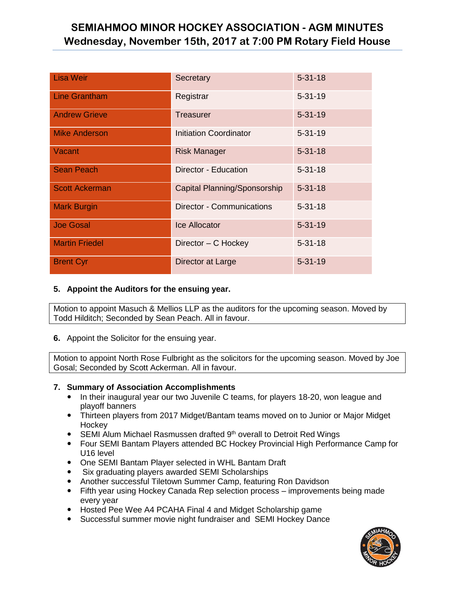| <b>Lisa Weir</b>      | Secretary                        | $5 - 31 - 18$ |
|-----------------------|----------------------------------|---------------|
| <b>Line Grantham</b>  | Registrar                        | $5 - 31 - 19$ |
| <b>Andrew Grieve</b>  | <b>Treasurer</b>                 | $5 - 31 - 19$ |
| <b>Mike Anderson</b>  | <b>Initiation Coordinator</b>    | $5 - 31 - 19$ |
| Vacant                | <b>Risk Manager</b>              | $5 - 31 - 18$ |
| <b>Sean Peach</b>     | Director - Education             | $5 - 31 - 18$ |
| <b>Scott Ackerman</b> | Capital Planning/Sponsorship     | $5 - 31 - 18$ |
| <b>Mark Burgin</b>    | <b>Director - Communications</b> | $5 - 31 - 18$ |
| <b>Joe Gosal</b>      | <b>Ice Allocator</b>             | $5 - 31 - 19$ |
| <b>Martin Friedel</b> | Director - C Hockey              | $5 - 31 - 18$ |
| <b>Brent Cyr</b>      | Director at Large                | $5 - 31 - 19$ |

#### **5. Appoint the Auditors for the ensuing year.**

Motion to appoint Masuch & Mellios LLP as the auditors for the upcoming season. Moved by Todd Hilditch; Seconded by Sean Peach. All in favour.

**6.** Appoint the Solicitor for the ensuing year.

Motion to appoint North Rose Fulbright as the solicitors for the upcoming season. Moved by Joe Gosal; Seconded by Scott Ackerman. All in favour.

#### **7. Summary of Association Accomplishments**

- In their inaugural year our two Juvenile C teams, for players 18-20, won league and playoff banners
- Thirteen players from 2017 Midget/Bantam teams moved on to Junior or Major Midget **Hockey**
- $\bullet$  SEMI Alum Michael Rasmussen drafted  $9<sup>th</sup>$  overall to Detroit Red Wings
- Four SEMI Bantam Players attended BC Hockey Provincial High Performance Camp for U16 level
- One SEMI Bantam Player selected in WHL Bantam Draft
- Six graduating players awarded SEMI Scholarships
- Another successful Tiletown Summer Camp, featuring Ron Davidson
- Fifth year using Hockey Canada Rep selection process improvements being made every year
- Hosted Pee Wee A4 PCAHA Final 4 and Midget Scholarship game
- Successful summer movie night fundraiser and SEMI Hockey Dance

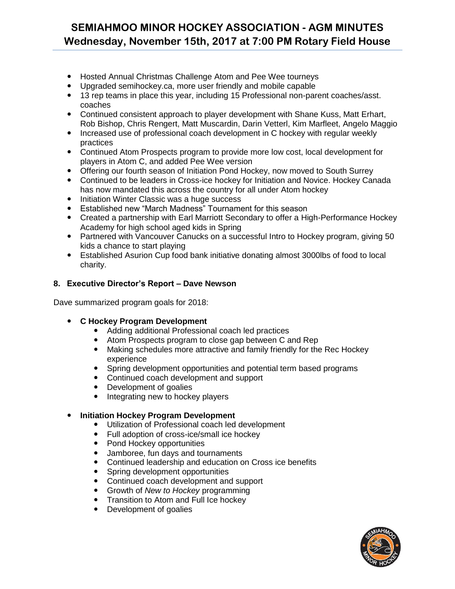- Hosted Annual Christmas Challenge Atom and Pee Wee tourneys
- Upgraded semihockey.ca, more user friendly and mobile capable
- 13 rep teams in place this year, including 15 Professional non-parent coaches/asst. coaches
- Continued consistent approach to player development with Shane Kuss, Matt Erhart, Rob Bishop, Chris Rengert, Matt Muscardin, Darin Vetterl, Kim Marfleet, Angelo Maggio
- Increased use of professional coach development in C hockey with regular weekly practices
- Continued Atom Prospects program to provide more low cost, local development for players in Atom C, and added Pee Wee version
- Offering our fourth season of Initiation Pond Hockey, now moved to South Surrey
- Continued to be leaders in Cross-ice hockey for Initiation and Novice. Hockey Canada has now mandated this across the country for all under Atom hockey
- Initiation Winter Classic was a huge success
- Established new "March Madness" Tournament for this season
- Created a partnership with Earl Marriott Secondary to offer a High-Performance Hockey Academy for high school aged kids in Spring
- Partnered with Vancouver Canucks on a successful Intro to Hockey program, giving 50 kids a chance to start playing
- Established Asurion Cup food bank initiative donating almost 3000lbs of food to local charity.

#### **8. Executive Director's Report – Dave Newson**

Dave summarized program goals for 2018:

- **C Hockey Program Development** 
	- Adding additional Professional coach led practices
	- Atom Prospects program to close gap between C and Rep
	- Making schedules more attractive and family friendly for the Rec Hockey experience
	- Spring development opportunities and potential term based programs
	- Continued coach development and support
	- Development of goalies
	- Integrating new to hockey players
- **Initiation Hockey Program Development** 
	- Utilization of Professional coach led development
	- Full adoption of cross-ice/small ice hockey
	- Pond Hockey opportunities<br>• Jamboree, fun davs and tou
	- Jamboree, fun days and tournaments
	- Continued leadership and education on Cross ice benefits
	- Spring development opportunities
	- Continued coach development and support
	- Growth of *New to Hockey* programming
	- Transition to Atom and Full Ice hockey
	- Development of goalies

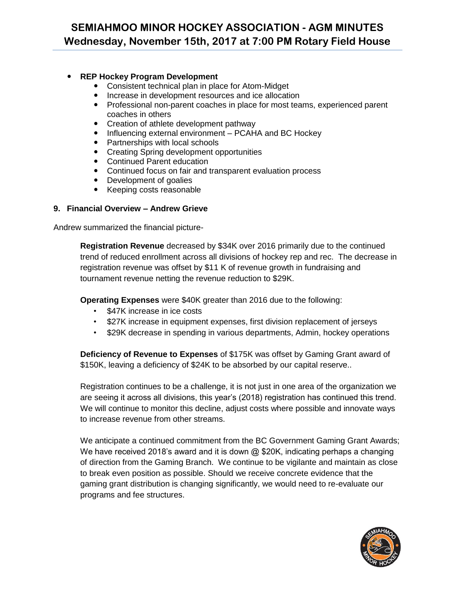#### **REP Hockey Program Development**

- Consistent technical plan in place for Atom-Midget
- Increase in development resources and ice allocation
- Professional non-parent coaches in place for most teams, experienced parent coaches in others
- Creation of athlete development pathway
- Influencing external environment PCAHA and BC Hockey
- Partnerships with local schools
- Creating Spring development opportunities
- Continued Parent education
- Continued focus on fair and transparent evaluation process
- Development of goalies
- Keeping costs reasonable

#### **9. Financial Overview – Andrew Grieve**

Andrew summarized the financial picture-

**Registration Revenue** decreased by \$34K over 2016 primarily due to the continued trend of reduced enrollment across all divisions of hockey rep and rec. The decrease in registration revenue was offset by \$11 K of revenue growth in fundraising and tournament revenue netting the revenue reduction to \$29K.

**Operating Expenses** were \$40K greater than 2016 due to the following:

- \$47K increase in ice costs
- \$27K increase in equipment expenses, first division replacement of jerseys
- \$29K decrease in spending in various departments, Admin, hockey operations

**Deficiency of Revenue to Expenses** of \$175K was offset by Gaming Grant award of \$150K, leaving a deficiency of \$24K to be absorbed by our capital reserve..

Registration continues to be a challenge, it is not just in one area of the organization we are seeing it across all divisions, this year's (2018) registration has continued this trend. We will continue to monitor this decline, adjust costs where possible and innovate ways to increase revenue from other streams.

We anticipate a continued commitment from the BC Government Gaming Grant Awards; We have received 2018's award and it is down  $@$  \$20K, indicating perhaps a changing of direction from the Gaming Branch. We continue to be vigilante and maintain as close to break even position as possible. Should we receive concrete evidence that the gaming grant distribution is changing significantly, we would need to re-evaluate our programs and fee structures.